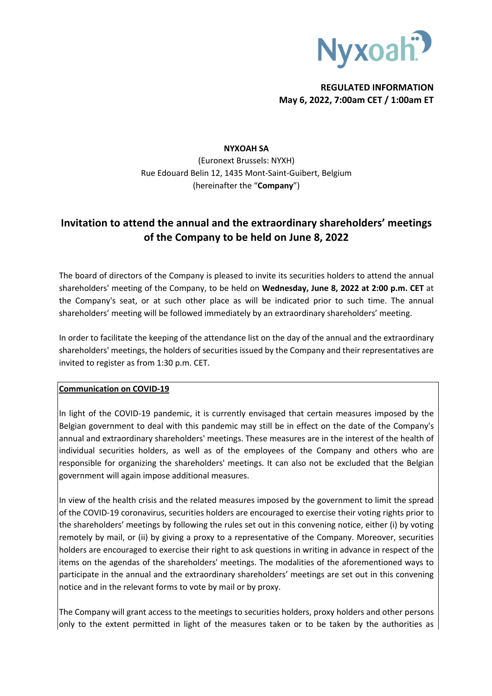

# **REGULATED INFORMATION May 6, 2022, 7:00am CET / 1:00am ET**

#### **NYXOAH SA**

(Euronext Brussels: NYXH) Rue Edouard Belin 12, 1435 Mont-Saint-Guibert, Belgium (hereinafter the "**Company**")

# **Invitation to attend the annual and the extraordinary shareholders' meetings of the Company to be held on June 8, 2022**

The board of directors of the Company is pleased to invite its securities holders to attend the annual shareholders' meeting of the Company, to be held on **Wednesday, June 8, 2022 at 2:00 p.m. CET** at the Company's seat, or at such other place as will be indicated prior to such time. The annual shareholders' meeting will be followed immediately by an extraordinary shareholders' meeting.

In order to facilitate the keeping of the attendance list on the day of the annual and the extraordinary shareholders' meetings, the holders of securities issued by the Company and their representatives are invited to register as from 1:30 p.m. CET.

## **Communication on COVID-19**

In light of the COVID-19 pandemic, it is currently envisaged that certain measures imposed by the Belgian government to deal with this pandemic may still be in effect on the date of the Company's annual and extraordinary shareholders' meetings. These measures are in the interest of the health of individual securities holders, as well as of the employees of the Company and others who are responsible for organizing the shareholders' meetings. It can also not be excluded that the Belgian government will again impose additional measures.

In view of the health crisis and the related measures imposed by the government to limit the spread of the COVID-19 coronavirus, securities holders are encouraged to exercise their voting rights prior to the shareholders' meetings by following the rules set out in this convening notice, either (i) by voting remotely by mail, or (ii) by giving a proxy to a representative of the Company. Moreover, securities holders are encouraged to exercise their right to ask questions in writing in advance in respect of the items on the agendas of the shareholders' meetings. The modalities of the aforementioned ways to participate in the annual and the extraordinary shareholders' meetings are set out in this convening notice and in the relevant forms to vote by mail or by proxy.

The Company will grant access to the meetings to securities holders, proxy holders and other persons only to the extent permitted in light of the measures taken or to be taken by the authorities as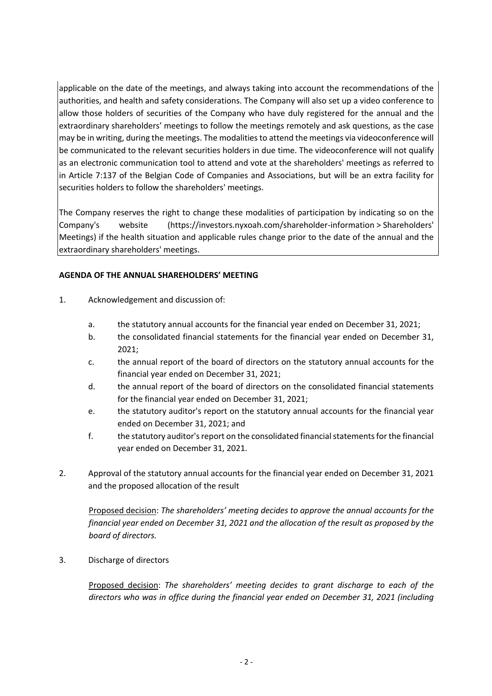applicable on the date of the meetings, and always taking into account the recommendations of the authorities, and health and safety considerations. The Company will also set up a video conference to allow those holders of securities of the Company who have duly registered for the annual and the extraordinary shareholders' meetings to follow the meetings remotely and ask questions, as the case may be in writing, during the meetings. The modalities to attend the meetings via videoconference will be communicated to the relevant securities holders in due time. The videoconference will not qualify as an electronic communication tool to attend and vote at the shareholders' meetings as referred to in Article 7:137 of the Belgian Code of Companies and Associations, but will be an extra facility for securities holders to follow the shareholders' meetings.

The Company reserves the right to change these modalities of participation by indicating so on the Company's website (https://investors.nyxoah.com/shareholder-information > Shareholders' Meetings) if the health situation and applicable rules change prior to the date of the annual and the extraordinary shareholders' meetings.

## **AGENDA OF THE ANNUAL SHAREHOLDERS' MEETING**

- 1. Acknowledgement and discussion of:
	- a. the statutory annual accounts for the financial year ended on December 31, 2021;
	- b. the consolidated financial statements for the financial year ended on December 31, 2021;
	- c. the annual report of the board of directors on the statutory annual accounts for the financial year ended on December 31, 2021;
	- d. the annual report of the board of directors on the consolidated financial statements for the financial year ended on December 31, 2021;
	- e. the statutory auditor's report on the statutory annual accounts for the financial year ended on December 31, 2021; and
	- f. the statutory auditor's report on the consolidated financial statements for the financial year ended on December 31, 2021.
- 2. Approval of the statutory annual accounts for the financial year ended on December 31, 2021 and the proposed allocation of the result

Proposed decision: *The shareholders' meeting decides to approve the annual accounts for the financial year ended on December 31, 2021 and the allocation of the result as proposed by the board of directors.*

3. Discharge of directors

Proposed decision: *The shareholders' meeting decides to grant discharge to each of the directors who was in office during the financial year ended on December 31, 2021 (including*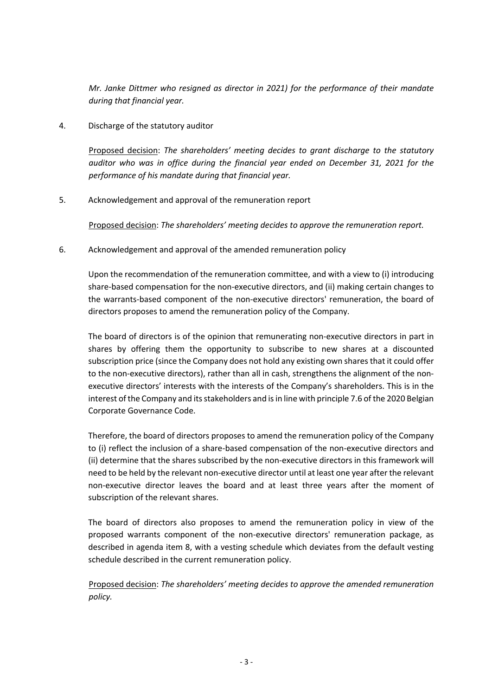*Mr. Janke Dittmer who resigned as director in 2021) for the performance of their mandate during that financial year.*

4. Discharge of the statutory auditor

Proposed decision: *The shareholders' meeting decides to grant discharge to the statutory auditor who was in office during the financial year ended on December 31, 2021 for the performance of his mandate during that financial year.*

5. Acknowledgement and approval of the remuneration report

Proposed decision: *The shareholders' meeting decides to approve the remuneration report.*

6. Acknowledgement and approval of the amended remuneration policy

Upon the recommendation of the remuneration committee, and with a view to (i) introducing share-based compensation for the non-executive directors, and (ii) making certain changes to the warrants-based component of the non-executive directors' remuneration, the board of directors proposes to amend the remuneration policy of the Company.

The board of directors is of the opinion that remunerating non-executive directors in part in shares by offering them the opportunity to subscribe to new shares at a discounted subscription price (since the Company does not hold any existing own shares that it could offer to the non-executive directors), rather than all in cash, strengthens the alignment of the nonexecutive directors' interests with the interests of the Company's shareholders. This is in the interest of the Company and its stakeholders and is in line with principle 7.6 of the 2020 Belgian Corporate Governance Code.

Therefore, the board of directors proposes to amend the remuneration policy of the Company to (i) reflect the inclusion of a share-based compensation of the non-executive directors and (ii) determine that the shares subscribed by the non-executive directors in this framework will need to be held by the relevant non-executive director until at least one year after the relevant non-executive director leaves the board and at least three years after the moment of subscription of the relevant shares.

The board of directors also proposes to amend the remuneration policy in view of the proposed warrants component of the non-executive directors' remuneration package, as described in agenda item 8, with a vesting schedule which deviates from the default vesting schedule described in the current remuneration policy.

Proposed decision: *The shareholders' meeting decides to approve the amended remuneration policy.*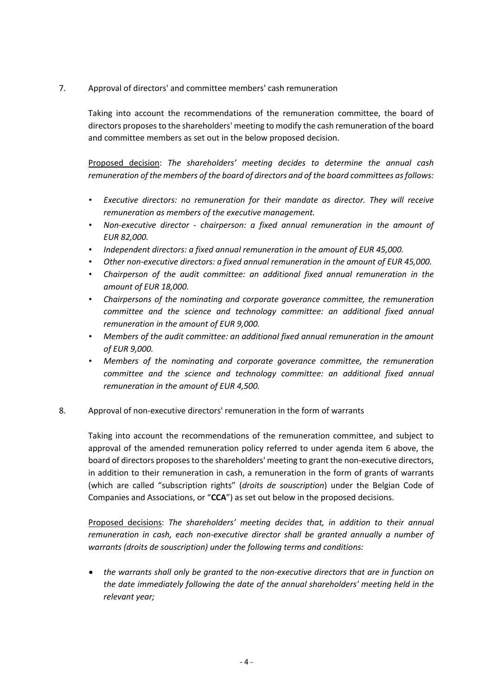7. Approval of directors' and committee members' cash remuneration

Taking into account the recommendations of the remuneration committee, the board of directors proposes to the shareholders' meeting to modify the cash remuneration of the board and committee members as set out in the below proposed decision.

Proposed decision: *The shareholders' meeting decides to determine the annual cash remuneration of the members of the board of directors and of the board committees as follows:* 

- *Executive directors: no remuneration for their mandate as director. They will receive remuneration as members of the executive management.*
- *Non-executive director - chairperson: a fixed annual remuneration in the amount of EUR 82,000.*
- *Independent directors: a fixed annual remuneration in the amount of EUR 45,000.*
- *Other non-executive directors: a fixed annual remuneration in the amount of EUR 45,000.*
- *Chairperson of the audit committee: an additional fixed annual remuneration in the amount of EUR 18,000.*
- *Chairpersons of the nominating and corporate goverance committee, the remuneration committee and the science and technology committee: an additional fixed annual remuneration in the amount of EUR 9,000.*
- *Members of the audit committee: an additional fixed annual remuneration in the amount of EUR 9,000.*
- *Members of the nominating and corporate goverance committee, the remuneration committee and the science and technology committee: an additional fixed annual remuneration in the amount of EUR 4,500.*
- 8. Approval of non-executive directors' remuneration in the form of warrants

Taking into account the recommendations of the remuneration committee, and subject to approval of the amended remuneration policy referred to under agenda item 6 above, the board of directors proposes to the shareholders' meeting to grant the non-executive directors, in addition to their remuneration in cash, a remuneration in the form of grants of warrants (which are called "subscription rights" (*droits de souscription*) under the Belgian Code of Companies and Associations, or "**CCA**") as set out below in the proposed decisions.

Proposed decisions: *The shareholders' meeting decides that, in addition to their annual remuneration in cash, each non-executive director shall be granted annually a number of warrants (droits de souscription) under the following terms and conditions:* 

• *the warrants shall only be granted to the non-executive directors that are in function on the date immediately following the date of the annual shareholders' meeting held in the relevant year;*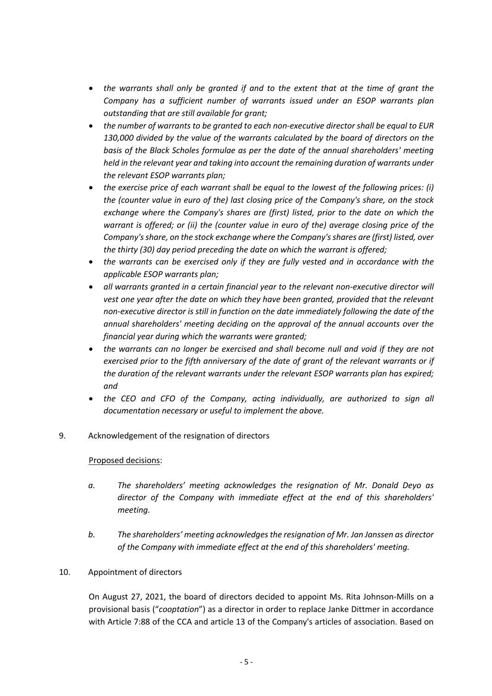- *the warrants shall only be granted if and to the extent that at the time of grant the Company has a sufficient number of warrants issued under an ESOP warrants plan outstanding that are still available for grant;*
- *the number of warrants to be granted to each non-executive director shall be equal to EUR 130,000 divided by the value of the warrants calculated by the board of directors on the basis of the Black Scholes formulae as per the date of the annual shareholders' meeting held in the relevant year and taking into account the remaining duration of warrants under the relevant ESOP warrants plan;*
- *the exercise price of each warrant shall be equal to the lowest of the following prices: (i) the (counter value in euro of the) last closing price of the Company's share, on the stock exchange where the Company's shares are (first) listed, prior to the date on which the warrant is offered; or (ii) the (counter value in euro of the) average closing price of the Company's share, on the stock exchange where the Company's shares are (first) listed, over the thirty (30) day period preceding the date on which the warrant is offered;*
- *the warrants can be exercised only if they are fully vested and in accordance with the applicable ESOP warrants plan;*
- *all warrants granted in a certain financial year to the relevant non-executive director will vest one year after the date on which they have been granted, provided that the relevant non-executive director is still in function on the date immediately following the date of the annual shareholders' meeting deciding on the approval of the annual accounts over the financial year during which the warrants were granted;*
- *the warrants can no longer be exercised and shall become null and void if they are not exercised prior to the fifth anniversary of the date of grant of the relevant warrants or if the duration of the relevant warrants under the relevant ESOP warrants plan has expired; and*
- *the CEO and CFO of the Company, acting individually, are authorized to sign all documentation necessary or useful to implement the above.*
- 9. Acknowledgement of the resignation of directors

## Proposed decisions:

- *a. The shareholders' meeting acknowledges the resignation of Mr. Donald Deyo as director of the Company with immediate effect at the end of this shareholders' meeting.*
- *b. The shareholders' meeting acknowledges the resignation of Mr. Jan Janssen as director of the Company with immediate effect at the end of this shareholders' meeting.*
- 10. Appointment of directors

On August 27, 2021, the board of directors decided to appoint Ms. Rita Johnson-Mills on a provisional basis ("*cooptation*") as a director in order to replace Janke Dittmer in accordance with Article 7:88 of the CCA and article 13 of the Company's articles of association. Based on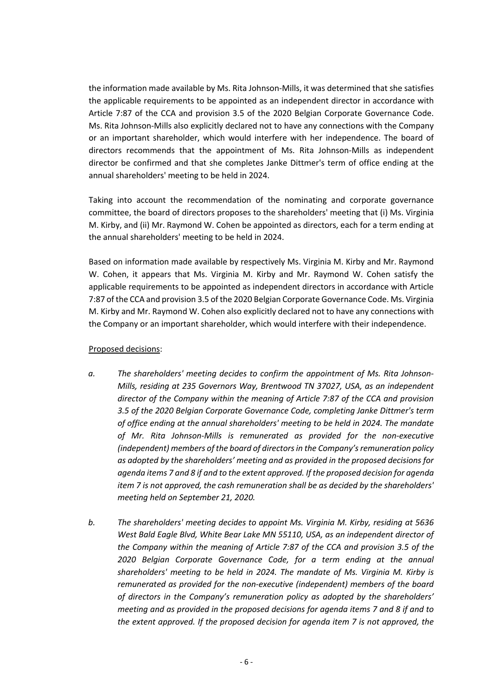the information made available by Ms. Rita Johnson-Mills, it was determined that she satisfies the applicable requirements to be appointed as an independent director in accordance with Article 7:87 of the CCA and provision 3.5 of the 2020 Belgian Corporate Governance Code. Ms. Rita Johnson-Mills also explicitly declared not to have any connections with the Company or an important shareholder, which would interfere with her independence. The board of directors recommends that the appointment of Ms. Rita Johnson-Mills as independent director be confirmed and that she completes Janke Dittmer's term of office ending at the annual shareholders' meeting to be held in 2024.

Taking into account the recommendation of the nominating and corporate governance committee, the board of directors proposes to the shareholders' meeting that (i) Ms. Virginia M. Kirby, and (ii) Mr. Raymond W. Cohen be appointed as directors, each for a term ending at the annual shareholders' meeting to be held in 2024.

Based on information made available by respectively Ms. Virginia M. Kirby and Mr. Raymond W. Cohen, it appears that Ms. Virginia M. Kirby and Mr. Raymond W. Cohen satisfy the applicable requirements to be appointed as independent directors in accordance with Article 7:87 of the CCA and provision 3.5 of the 2020 Belgian Corporate Governance Code. Ms. Virginia M. Kirby and Mr. Raymond W. Cohen also explicitly declared not to have any connections with the Company or an important shareholder, which would interfere with their independence.

### Proposed decisions:

- *a. The shareholders' meeting decides to confirm the appointment of Ms. Rita Johnson-Mills, residing at 235 Governors Way, Brentwood TN 37027, USA, as an independent director of the Company within the meaning of Article 7:87 of the CCA and provision 3.5 of the 2020 Belgian Corporate Governance Code, completing Janke Dittmer's term of office ending at the annual shareholders' meeting to be held in 2024. The mandate of Mr. Rita Johnson-Mills is remunerated as provided for the non-executive (independent) members of the board of directors in the Company's remuneration policy as adopted by the shareholders' meeting and as provided in the proposed decisions for agenda items 7 and 8 if and to the extent approved. If the proposed decision for agenda item 7 is not approved, the cash remuneration shall be as decided by the shareholders' meeting held on September 21, 2020.*
- *b. The shareholders' meeting decides to appoint Ms. Virginia M. Kirby, residing at 5636*  West Bald Eagle Blvd, White Bear Lake MN 55110, USA, as an independent director of *the Company within the meaning of Article 7:87 of the CCA and provision 3.5 of the 2020 Belgian Corporate Governance Code, for a term ending at the annual shareholders' meeting to be held in 2024. The mandate of Ms. Virginia M. Kirby is remunerated as provided for the non-executive (independent) members of the board of directors in the Company's remuneration policy as adopted by the shareholders' meeting and as provided in the proposed decisions for agenda items 7 and 8 if and to the extent approved. If the proposed decision for agenda item 7 is not approved, the*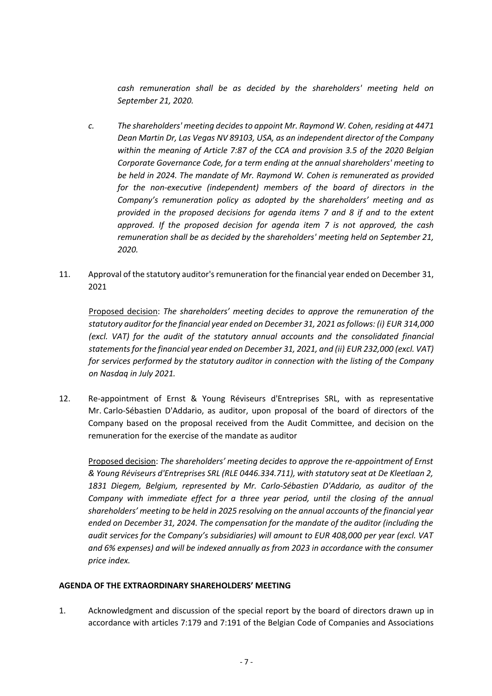*cash remuneration shall be as decided by the shareholders' meeting held on September 21, 2020.*

- *c. The shareholders' meeting decides to appoint Mr. Raymond W. Cohen, residing at 4471 Dean Martin Dr, Las Vegas NV 89103, USA, as an independent director of the Company within the meaning of Article 7:87 of the CCA and provision 3.5 of the 2020 Belgian Corporate Governance Code, for a term ending at the annual shareholders' meeting to be held in 2024. The mandate of Mr. Raymond W. Cohen is remunerated as provided for the non-executive (independent) members of the board of directors in the Company's remuneration policy as adopted by the shareholders' meeting and as provided in the proposed decisions for agenda items 7 and 8 if and to the extent approved. If the proposed decision for agenda item 7 is not approved, the cash remuneration shall be as decided by the shareholders' meeting held on September 21, 2020.*
- 11. Approval of the statutory auditor's remuneration for the financial year ended on December 31, 2021

Proposed decision: *The shareholders' meeting decides to approve the remuneration of the statutory auditor for the financial year ended on December 31, 2021 as follows: (i) EUR 314,000 (excl. VAT) for the audit of the statutory annual accounts and the consolidated financial statements for the financial year ended on December 31, 2021, and (ii) EUR 232,000 (excl. VAT) for services performed by the statutory auditor in connection with the listing of the Company on Nasdaq in July 2021.* 

12. Re-appointment of Ernst & Young Réviseurs d'Entreprises SRL, with as representative Mr. Carlo-Sébastien D'Addario, as auditor, upon proposal of the board of directors of the Company based on the proposal received from the Audit Committee, and decision on the remuneration for the exercise of the mandate as auditor

Proposed decision: *The shareholders' meeting decides to approve the re-appointment of Ernst & Young Réviseurs d'Entreprises SRL (RLE 0446.334.711), with statutory seat at De Kleetlaan 2, 1831 Diegem, Belgium, represented by Mr. Carlo-Sébastien D'Addario, as auditor of the Company with immediate effect for a three year period, until the closing of the annual shareholders' meeting to be held in 2025 resolving on the annual accounts of the financial year ended on December 31, 2024. The compensation for the mandate of the auditor (including the audit services for the Company's subsidiaries) will amount to EUR 408,000 per year (excl. VAT and 6% expenses) and will be indexed annually as from 2023 in accordance with the consumer price index.*

## **AGENDA OF THE EXTRAORDINARY SHAREHOLDERS' MEETING**

1. Acknowledgment and discussion of the special report by the board of directors drawn up in accordance with articles 7:179 and 7:191 of the Belgian Code of Companies and Associations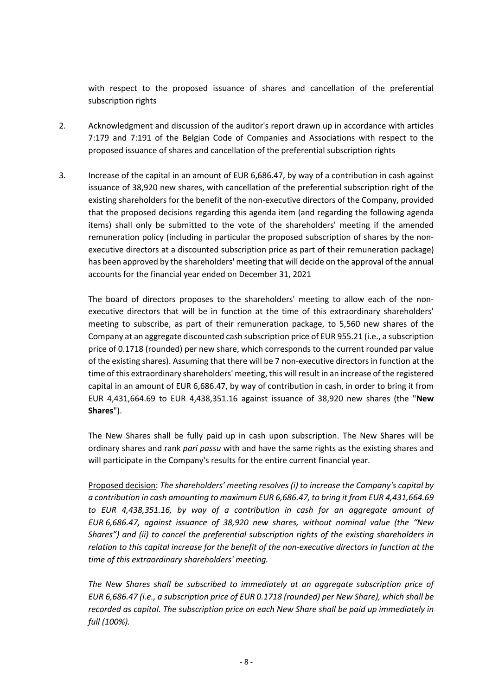with respect to the proposed issuance of shares and cancellation of the preferential subscription rights

- 2. Acknowledgment and discussion of the auditor's report drawn up in accordance with articles 7:179 and 7:191 of the Belgian Code of Companies and Associations with respect to the proposed issuance of shares and cancellation of the preferential subscription rights
- 3. Increase of the capital in an amount of EUR 6,686.47, by way of a contribution in cash against issuance of 38,920 new shares, with cancellation of the preferential subscription right of the existing shareholders for the benefit of the non-executive directors of the Company, provided that the proposed decisions regarding this agenda item (and regarding the following agenda items) shall only be submitted to the vote of the shareholders' meeting if the amended remuneration policy (including in particular the proposed subscription of shares by the nonexecutive directors at a discounted subscription price as part of their remuneration package) has been approved by the shareholders' meeting that will decide on the approval of the annual accounts for the financial year ended on December 31, 2021

The board of directors proposes to the shareholders' meeting to allow each of the nonexecutive directors that will be in function at the time of this extraordinary shareholders' meeting to subscribe, as part of their remuneration package, to 5,560 new shares of the Company at an aggregate discounted cash subscription price of EUR 955.21 (i.e., a subscription price of 0.1718 (rounded) per new share, which corresponds to the current rounded par value of the existing shares). Assuming that there will be 7 non-executive directors in function at the time of this extraordinary shareholders' meeting, this will result in an increase of the registered capital in an amount of EUR 6,686.47, by way of contribution in cash, in order to bring it from EUR 4,431,664.69 to EUR 4,438,351.16 against issuance of 38,920 new shares (the "**New Shares**").

The New Shares shall be fully paid up in cash upon subscription. The New Shares will be ordinary shares and rank *pari passu* with and have the same rights as the existing shares and will participate in the Company's results for the entire current financial year.

Proposed decision: *The shareholders' meeting resolves (i) to increase the Company's capital by a contribution in cash amounting to maximum EUR 6,686.47, to bring it from EUR 4,431,664.69 to EUR 4,438,351.16, by way of a contribution in cash for an aggregate amount of EUR 6,686.47, against issuance of 38,920 new shares, without nominal value (the "New Shares") and (ii) to cancel the preferential subscription rights of the existing shareholders in relation to this capital increase for the benefit of the non-executive directors in function at the time of this extraordinary shareholders' meeting.* 

*The New Shares shall be subscribed to immediately at an aggregate subscription price of EUR 6,686.47 (i.e., a subscription price of EUR 0.1718 (rounded) per New Share), which shall be recorded as capital. The subscription price on each New Share shall be paid up immediately in full (100%).*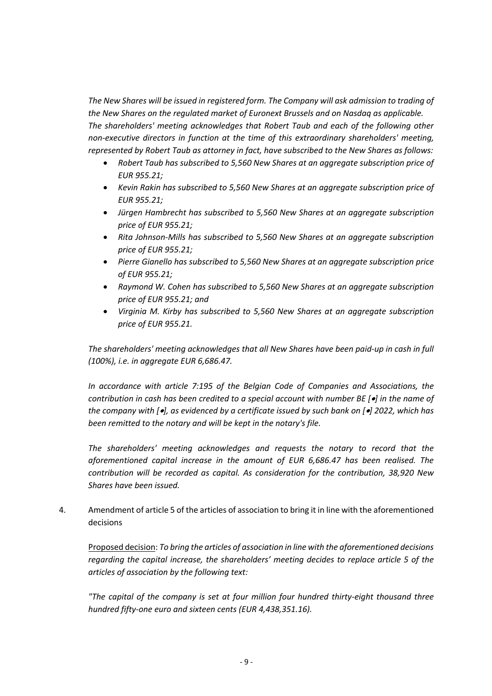*The New Shares will be issued in registered form. The Company will ask admission to trading of the New Shares on the regulated market of Euronext Brussels and on Nasdaq as applicable. The shareholders' meeting acknowledges that Robert Taub and each of the following other non-executive directors in function at the time of this extraordinary shareholders' meeting, represented by Robert Taub as attorney in fact, have subscribed to the New Shares as follows:* 

- *Robert Taub has subscribed to 5,560 New Shares at an aggregate subscription price of EUR 955.21;*
- *Kevin Rakin has subscribed to 5,560 New Shares at an aggregate subscription price of EUR 955.21;*
- *Jürgen Hambrecht has subscribed to 5,560 New Shares at an aggregate subscription price of EUR 955.21;*
- *Rita Johnson-Mills has subscribed to 5,560 New Shares at an aggregate subscription price of EUR 955.21;*
- *Pierre Gianello has subscribed to 5,560 New Shares at an aggregate subscription price of EUR 955.21;*
- *Raymond W. Cohen has subscribed to 5,560 New Shares at an aggregate subscription price of EUR 955.21; and*
- *Virginia M. Kirby has subscribed to 5,560 New Shares at an aggregate subscription price of EUR 955.21.*

*The shareholders' meeting acknowledges that all New Shares have been paid-up in cash in full (100%), i.e. in aggregate EUR 6,686.47.* 

*In accordance with article 7:195 of the Belgian Code of Companies and Associations, the contribution in cash has been credited to a special account with number BE [*•*] in the name of the company with [*•*], as evidenced by a certificate issued by such bank on [*•*] 2022, which has been remitted to the notary and will be kept in the notary's file.* 

*The shareholders' meeting acknowledges and requests the notary to record that the aforementioned capital increase in the amount of EUR 6,686.47 has been realised. The contribution will be recorded as capital. As consideration for the contribution, 38,920 New Shares have been issued.* 

4. Amendment of article 5 of the articles of association to bring it in line with the aforementioned decisions

Proposed decision: *To bring the articles of association in line with the aforementioned decisions regarding the capital increase, the shareholders' meeting decides to replace article 5 of the articles of association by the following text:* 

*"The capital of the company is set at four million four hundred thirty-eight thousand three hundred fifty-one euro and sixteen cents (EUR 4,438,351.16).*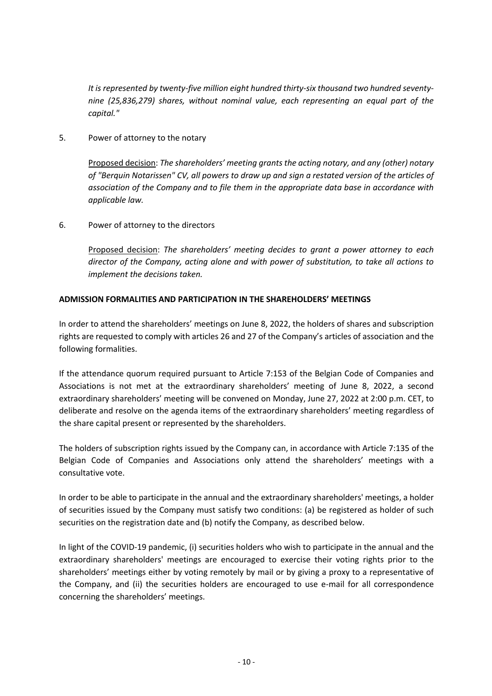*It is represented by twenty-five million eight hundred thirty-six thousand two hundred seventynine (25,836,279) shares, without nominal value, each representing an equal part of the capital."*

5. Power of attorney to the notary

Proposed decision: *The shareholders' meeting grants the acting notary, and any (other) notary of "Berquin Notarissen" CV, all powers to draw up and sign a restated version of the articles of association of the Company and to file them in the appropriate data base in accordance with applicable law.*

6. Power of attorney to the directors

Proposed decision: *The shareholders' meeting decides to grant a power attorney to each director of the Company, acting alone and with power of substitution, to take all actions to implement the decisions taken.*

#### **ADMISSION FORMALITIES AND PARTICIPATION IN THE SHAREHOLDERS' MEETINGS**

In order to attend the shareholders' meetings on June 8, 2022, the holders of shares and subscription rights are requested to comply with articles 26 and 27 of the Company's articles of association and the following formalities.

If the attendance quorum required pursuant to Article 7:153 of the Belgian Code of Companies and Associations is not met at the extraordinary shareholders' meeting of June 8, 2022, a second extraordinary shareholders' meeting will be convened on Monday, June 27, 2022 at 2:00 p.m. CET, to deliberate and resolve on the agenda items of the extraordinary shareholders' meeting regardless of the share capital present or represented by the shareholders.

The holders of subscription rights issued by the Company can, in accordance with Article 7:135 of the Belgian Code of Companies and Associations only attend the shareholders' meetings with a consultative vote.

In order to be able to participate in the annual and the extraordinary shareholders' meetings, a holder of securities issued by the Company must satisfy two conditions: (a) be registered as holder of such securities on the registration date and (b) notify the Company, as described below.

In light of the COVID-19 pandemic, (i) securities holders who wish to participate in the annual and the extraordinary shareholders' meetings are encouraged to exercise their voting rights prior to the shareholders' meetings either by voting remotely by mail or by giving a proxy to a representative of the Company, and (ii) the securities holders are encouraged to use e-mail for all correspondence concerning the shareholders' meetings.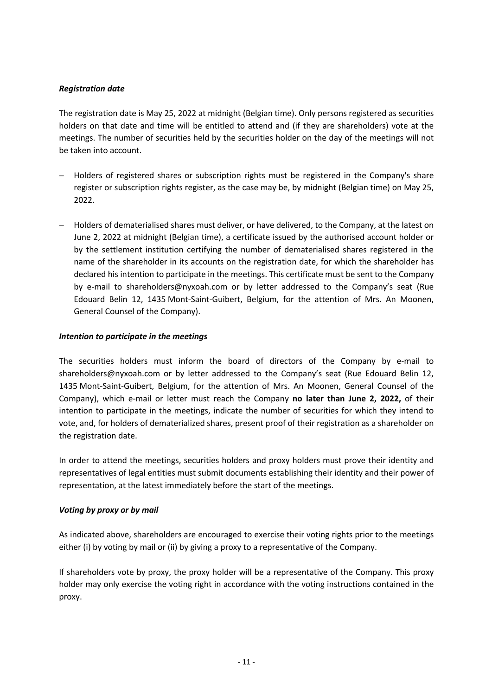## *Registration date*

The registration date is May 25, 2022 at midnight (Belgian time). Only persons registered as securities holders on that date and time will be entitled to attend and (if they are shareholders) vote at the meetings. The number of securities held by the securities holder on the day of the meetings will not be taken into account.

- Holders of registered shares or subscription rights must be registered in the Company's share register or subscription rights register, as the case may be, by midnight (Belgian time) on May 25, 2022.
- Holders of dematerialised shares must deliver, or have delivered, to the Company, at the latest on June 2, 2022 at midnight (Belgian time), a certificate issued by the authorised account holder or by the settlement institution certifying the number of dematerialised shares registered in the name of the shareholder in its accounts on the registration date, for which the shareholder has declared his intention to participate in the meetings. This certificate must be sent to the Company by e-mail to shareholders@nyxoah.com or by letter addressed to the Company's seat (Rue Edouard Belin 12, 1435 Mont-Saint-Guibert, Belgium, for the attention of Mrs. An Moonen, General Counsel of the Company).

## *Intention to participate in the meetings*

The securities holders must inform the board of directors of the Company by e-mail to shareholders@nyxoah.com or by letter addressed to the Company's seat (Rue Edouard Belin 12, 1435 Mont-Saint-Guibert, Belgium, for the attention of Mrs. An Moonen, General Counsel of the Company), which e-mail or letter must reach the Company **no later than June 2, 2022,** of their intention to participate in the meetings, indicate the number of securities for which they intend to vote, and, for holders of dematerialized shares, present proof of their registration as a shareholder on the registration date.

In order to attend the meetings, securities holders and proxy holders must prove their identity and representatives of legal entities must submit documents establishing their identity and their power of representation, at the latest immediately before the start of the meetings.

## *Voting by proxy or by mail*

As indicated above, shareholders are encouraged to exercise their voting rights prior to the meetings either (i) by voting by mail or (ii) by giving a proxy to a representative of the Company.

If shareholders vote by proxy, the proxy holder will be a representative of the Company. This proxy holder may only exercise the voting right in accordance with the voting instructions contained in the proxy.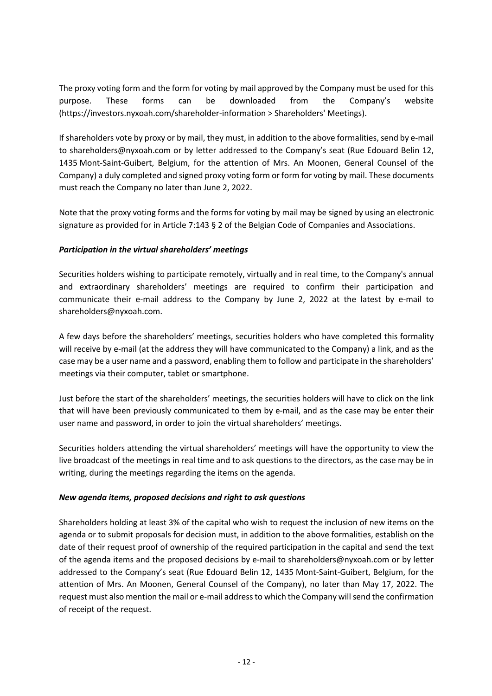The proxy voting form and the form for voting by mail approved by the Company must be used for this purpose. These forms can be downloaded from the Company's website (https://investors.nyxoah.com/shareholder-information > Shareholders' Meetings).

If shareholders vote by proxy or by mail, they must, in addition to the above formalities, send by e-mail to shareholders@nyxoah.com or by letter addressed to the Company's seat (Rue Edouard Belin 12, 1435 Mont-Saint-Guibert, Belgium, for the attention of Mrs. An Moonen, General Counsel of the Company) a duly completed and signed proxy voting form or form for voting by mail. These documents must reach the Company no later than June 2, 2022.

Note that the proxy voting forms and the forms for voting by mail may be signed by using an electronic signature as provided for in Article 7:143 § 2 of the Belgian Code of Companies and Associations.

# *Participation in the virtual shareholders' meetings*

Securities holders wishing to participate remotely, virtually and in real time, to the Company's annual and extraordinary shareholders' meetings are required to confirm their participation and communicate their e-mail address to the Company by June 2, 2022 at the latest by e-mail to shareholders@nyxoah.com.

A few days before the shareholders' meetings, securities holders who have completed this formality will receive by e-mail (at the address they will have communicated to the Company) a link, and as the case may be a user name and a password, enabling them to follow and participate in the shareholders' meetings via their computer, tablet or smartphone.

Just before the start of the shareholders' meetings, the securities holders will have to click on the link that will have been previously communicated to them by e-mail, and as the case may be enter their user name and password, in order to join the virtual shareholders' meetings.

Securities holders attending the virtual shareholders' meetings will have the opportunity to view the live broadcast of the meetings in real time and to ask questions to the directors, as the case may be in writing, during the meetings regarding the items on the agenda.

## *New agenda items, proposed decisions and right to ask questions*

Shareholders holding at least 3% of the capital who wish to request the inclusion of new items on the agenda or to submit proposals for decision must, in addition to the above formalities, establish on the date of their request proof of ownership of the required participation in the capital and send the text of the agenda items and the proposed decisions by e-mail to shareholders@nyxoah.com or by letter addressed to the Company's seat (Rue Edouard Belin 12, 1435 Mont-Saint-Guibert, Belgium, for the attention of Mrs. An Moonen, General Counsel of the Company), no later than May 17, 2022. The request must also mention the mail or e-mail address to which the Company will send the confirmation of receipt of the request.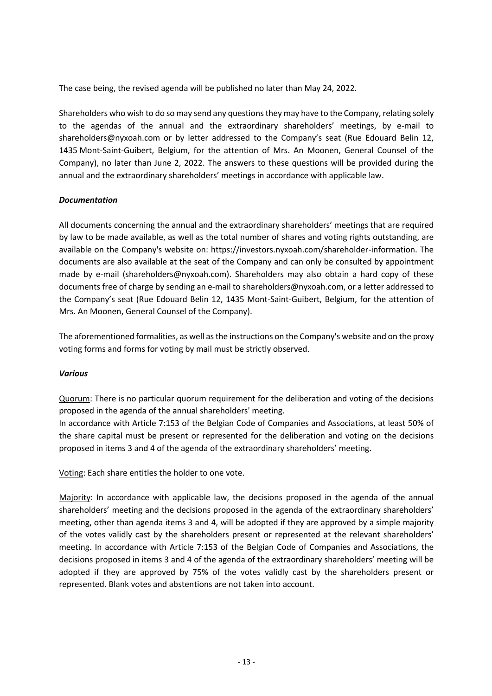The case being, the revised agenda will be published no later than May 24, 2022.

Shareholders who wish to do so may send any questions they may have to the Company, relating solely to the agendas of the annual and the extraordinary shareholders' meetings, by e-mail to shareholders@nyxoah.com or by letter addressed to the Company's seat (Rue Edouard Belin 12, 1435 Mont-Saint-Guibert, Belgium, for the attention of Mrs. An Moonen, General Counsel of the Company), no later than June 2, 2022. The answers to these questions will be provided during the annual and the extraordinary shareholders' meetings in accordance with applicable law.

#### *Documentation*

All documents concerning the annual and the extraordinary shareholders' meetings that are required by law to be made available, as well as the total number of shares and voting rights outstanding, are available on the Company's website on: https://investors.nyxoah.com/shareholder-information. The documents are also available at the seat of the Company and can only be consulted by appointment made by e-mail (shareholders@nyxoah.com). Shareholders may also obtain a hard copy of these documents free of charge by sending an e-mail to shareholders@nyxoah.com, or a letter addressed to the Company's seat (Rue Edouard Belin 12, 1435 Mont-Saint-Guibert, Belgium, for the attention of Mrs. An Moonen, General Counsel of the Company).

The aforementioned formalities, as well as the instructions on the Company's website and on the proxy voting forms and forms for voting by mail must be strictly observed.

#### *Various*

Quorum: There is no particular quorum requirement for the deliberation and voting of the decisions proposed in the agenda of the annual shareholders' meeting.

In accordance with Article 7:153 of the Belgian Code of Companies and Associations, at least 50% of the share capital must be present or represented for the deliberation and voting on the decisions proposed in items 3 and 4 of the agenda of the extraordinary shareholders' meeting.

Voting: Each share entitles the holder to one vote.

Majority: In accordance with applicable law, the decisions proposed in the agenda of the annual shareholders' meeting and the decisions proposed in the agenda of the extraordinary shareholders' meeting, other than agenda items 3 and 4, will be adopted if they are approved by a simple majority of the votes validly cast by the shareholders present or represented at the relevant shareholders' meeting. In accordance with Article 7:153 of the Belgian Code of Companies and Associations, the decisions proposed in items 3 and 4 of the agenda of the extraordinary shareholders' meeting will be adopted if they are approved by 75% of the votes validly cast by the shareholders present or represented. Blank votes and abstentions are not taken into account.